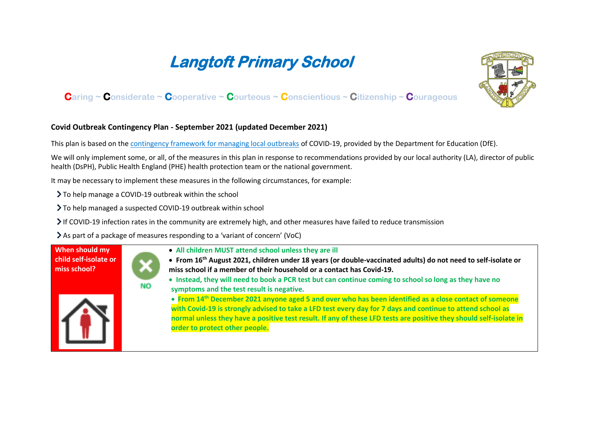## **Langtoft Primary School**



## **Caring ~ Considerate ~ Cooperative ~ Courteous ~ Conscientious ~ Citizenship ~ Courageous**

## **Covid Outbreak Contingency Plan - September 2021 (updated December 2021)**

This plan is based on the [contingency framework for managing local outbreaks](https://www.gov.uk/government/publications/coronavirus-covid-19-local-restrictions-in-education-and-childcare-settings) of COVID-19, provided by the Department for Education (DfE).

We will only implement some, or all, of the measures in this plan in response to recommendations provided by our local authority (LA), director of public health (DsPH), Public Health England (PHE) health protection team or the national government.

It may be necessary to implement these measures in the following circumstances, for example:

> To help manage a COVID-19 outbreak within the school

To help managed a suspected COVID-19 outbreak within school

 $\geq$  If COVID-19 infection rates in the community are extremely high, and other measures have failed to reduce transmission

As part of a package of measures responding to a 'variant of concern' (VoC)

**When should my child self-isolate or miss school?** 



- **All children MUST attend school unless they are ill**
- **From 16th August 2021, children under 18 years (or double-vaccinated adults) do not need to self-isolate or miss school if a member of their household or a contact has Covid-19.**
- **Instead, they will need to book a PCR test but can continue coming to school so long as they have no symptoms and the test result is negative.**



• **From 14th December 2021 anyone aged 5 and over who has been identified as a close contact of someone with Covid-19 is strongly advised to take a LFD test every day for 7 days and continue to attend school as normal unless they have a positive test result. If any of these LFD tests are positive they should self-isolate in order to protect other people.**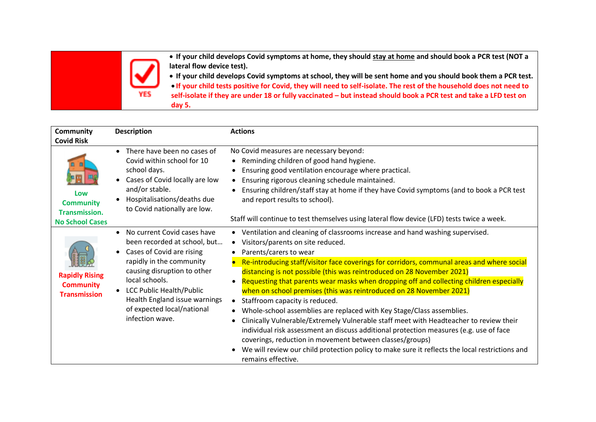• **If your child develops Covid symptoms at home, they should stay at home and should book a PCR test (NOT a lateral flow device test).**

• **If your child develops Covid symptoms at school, they will be sent home and you should book them a PCR test.**  • **If your child tests positive for Covid, they will need to self-isolate. The rest of the household does not need to self-isolate if they are under 18 or fully vaccinated – but instead should book a PCR test and take a LFD test on day 5.** 

| <b>Community</b><br><b>Covid Risk</b>                                     | <b>Description</b>                                                                                                                                                                                                                                                                      | <b>Actions</b>                                                                                                                                                                                                                                                                                                                                                                                                                                                                                                                                                                                                                                                                                                                                                                                                                                                                                                                                                                   |
|---------------------------------------------------------------------------|-----------------------------------------------------------------------------------------------------------------------------------------------------------------------------------------------------------------------------------------------------------------------------------------|----------------------------------------------------------------------------------------------------------------------------------------------------------------------------------------------------------------------------------------------------------------------------------------------------------------------------------------------------------------------------------------------------------------------------------------------------------------------------------------------------------------------------------------------------------------------------------------------------------------------------------------------------------------------------------------------------------------------------------------------------------------------------------------------------------------------------------------------------------------------------------------------------------------------------------------------------------------------------------|
| Low<br><b>Community</b><br><b>Transmission.</b><br><b>No School Cases</b> | There have been no cases of<br>Covid within school for 10<br>school days.<br>Cases of Covid locally are low<br>and/or stable.<br>Hospitalisations/deaths due<br>to Covid nationally are low.                                                                                            | No Covid measures are necessary beyond:<br>Reminding children of good hand hygiene.<br>Ensuring good ventilation encourage where practical.<br>• Ensuring rigorous cleaning schedule maintained.<br>Ensuring children/staff stay at home if they have Covid symptoms (and to book a PCR test<br>and report results to school).<br>Staff will continue to test themselves using lateral flow device (LFD) tests twice a week.                                                                                                                                                                                                                                                                                                                                                                                                                                                                                                                                                     |
| <b>Rapidly Rising</b><br><b>Community</b><br><b>Transmission</b>          | • No current Covid cases have<br>been recorded at school, but<br>Cases of Covid are rising<br>rapidly in the community<br>causing disruption to other<br>local schools.<br>• LCC Public Health/Public<br>Health England issue warnings<br>of expected local/national<br>infection wave. | • Ventilation and cleaning of classrooms increase and hand washing supervised.<br>• Visitors/parents on site reduced.<br>Parents/carers to wear<br>Re-introducing staff/visitor face coverings for corridors, communal areas and where social<br>distancing is not possible (this was reintroduced on 28 November 2021)<br>Requesting that parents wear masks when dropping off and collecting children especially<br>when on school premises (this was reintroduced on 28 November 2021)<br>• Staffroom capacity is reduced.<br>• Whole-school assemblies are replaced with Key Stage/Class assemblies.<br>Clinically Vulnerable/Extremely Vulnerable staff meet with Headteacher to review their<br>individual risk assessment an discuss additional protection measures (e.g. use of face<br>coverings, reduction in movement between classes/groups)<br>We will review our child protection policy to make sure it reflects the local restrictions and<br>remains effective. |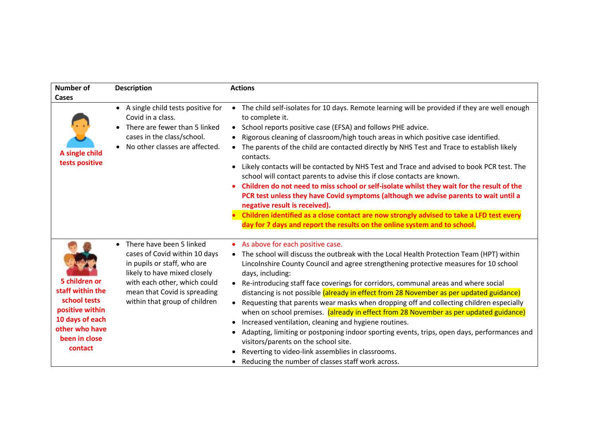| <b>Number of</b>                                                                                                                      | <b>Description</b>                                                                                                                                                                                                        | <b>Actions</b>                                                                                                                                                                                                                                                                                                                                                                                                                                                                                                                                                                                                                                                                                                                                                                                                                                                                                                                                                             |
|---------------------------------------------------------------------------------------------------------------------------------------|---------------------------------------------------------------------------------------------------------------------------------------------------------------------------------------------------------------------------|----------------------------------------------------------------------------------------------------------------------------------------------------------------------------------------------------------------------------------------------------------------------------------------------------------------------------------------------------------------------------------------------------------------------------------------------------------------------------------------------------------------------------------------------------------------------------------------------------------------------------------------------------------------------------------------------------------------------------------------------------------------------------------------------------------------------------------------------------------------------------------------------------------------------------------------------------------------------------|
| Cases<br>A single child<br>tests positive                                                                                             | • A single child tests positive for<br>Covid in a class.<br>There are fewer than 5 linked<br>cases in the class/school.<br>No other classes are affected.                                                                 | • The child self-isolates for 10 days. Remote learning will be provided if they are well enough<br>to complete it.<br>• School reports positive case (EFSA) and follows PHE advice.<br>Rigorous cleaning of classroom/high touch areas in which positive case identified.<br>• The parents of the child are contacted directly by NHS Test and Trace to establish likely<br>contacts.<br>Likely contacts will be contacted by NHS Test and Trace and advised to book PCR test. The<br>$\bullet$<br>school will contact parents to advise this if close contacts are known.<br>Children do not need to miss school or self-isolate whilst they wait for the result of the<br>PCR test unless they have Covid symptoms (although we advise parents to wait until a<br>negative result is received).<br>Children identified as a close contact are now strongly advised to take a LFD test every<br>day for 7 days and report the results on the online system and to school. |
| 5 children or<br>staff within the<br>school tests<br>positive within<br>10 days of each<br>other who have<br>been in close<br>contact | There have been 5 linked<br>cases of Covid within 10 days<br>in pupils or staff, who are<br>likely to have mixed closely<br>with each other, which could<br>mean that Covid is spreading<br>within that group of children | • As above for each positive case.<br>• The school will discuss the outbreak with the Local Health Protection Team (HPT) within<br>Lincolnshire County Council and agree strengthening protective measures for 10 school<br>days, including:<br>• Re-introducing staff face coverings for corridors, communal areas and where social<br>distancing is not possible (already in effect from 28 November as per updated guidance)<br>• Requesting that parents wear masks when dropping off and collecting children especially<br>when on school premises. (already in effect from 28 November as per updated guidance)<br>Increased ventilation, cleaning and hygiene routines.<br>Adapting, limiting or postponing indoor sporting events, trips, open days, performances and<br>visitors/parents on the school site.<br>Reverting to video-link assemblies in classrooms.<br>Reducing the number of classes staff work across.                                            |